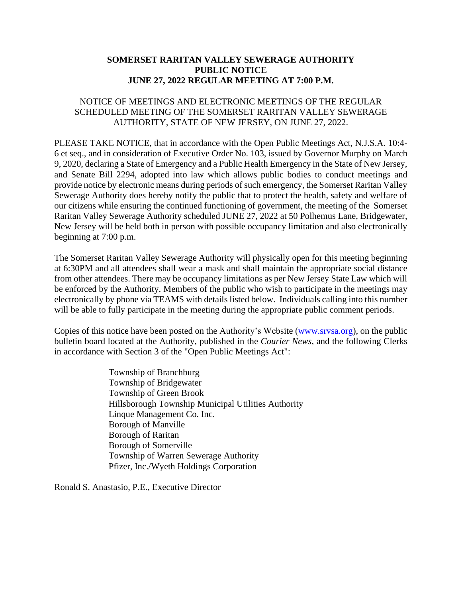## **SOMERSET RARITAN VALLEY SEWERAGE AUTHORITY PUBLIC NOTICE JUNE 27, 2022 REGULAR MEETING AT 7:00 P.M.**

## NOTICE OF MEETINGS AND ELECTRONIC MEETINGS OF THE REGULAR SCHEDULED MEETING OF THE SOMERSET RARITAN VALLEY SEWERAGE AUTHORITY, STATE OF NEW JERSEY, ON JUNE 27, 2022.

PLEASE TAKE NOTICE, that in accordance with the Open Public Meetings Act, N.J.S.A. 10:4- 6 et seq., and in consideration of Executive Order No. 103, issued by Governor Murphy on March 9, 2020, declaring a State of Emergency and a Public Health Emergency in the State of New Jersey, and Senate Bill 2294, adopted into law which allows public bodies to conduct meetings and provide notice by electronic means during periods of such emergency, the Somerset Raritan Valley Sewerage Authority does hereby notify the public that to protect the health, safety and welfare of our citizens while ensuring the continued functioning of government, the meeting of the Somerset Raritan Valley Sewerage Authority scheduled JUNE 27, 2022 at 50 Polhemus Lane, Bridgewater, New Jersey will be held both in person with possible occupancy limitation and also electronically beginning at 7:00 p.m.

The Somerset Raritan Valley Sewerage Authority will physically open for this meeting beginning at 6:30PM and all attendees shall wear a mask and shall maintain the appropriate social distance from other attendees. There may be occupancy limitations as per New Jersey State Law which will be enforced by the Authority. Members of the public who wish to participate in the meetings may electronically by phone via TEAMS with details listed below. Individuals calling into this number will be able to fully participate in the meeting during the appropriate public comment periods.

Copies of this notice have been posted on the Authority's Website (www.srvsa.org), on the public bulletin board located at the Authority, published in the *Courier News*, and the following Clerks in accordance with Section 3 of the "Open Public Meetings Act":

> Township of Branchburg Township of Bridgewater Township of Green Brook Hillsborough Township Municipal Utilities Authority Linque Management Co. Inc. Borough of Manville Borough of Raritan Borough of Somerville Township of Warren Sewerage Authority Pfizer, Inc./Wyeth Holdings Corporation

Ronald S. Anastasio, P.E., Executive Director